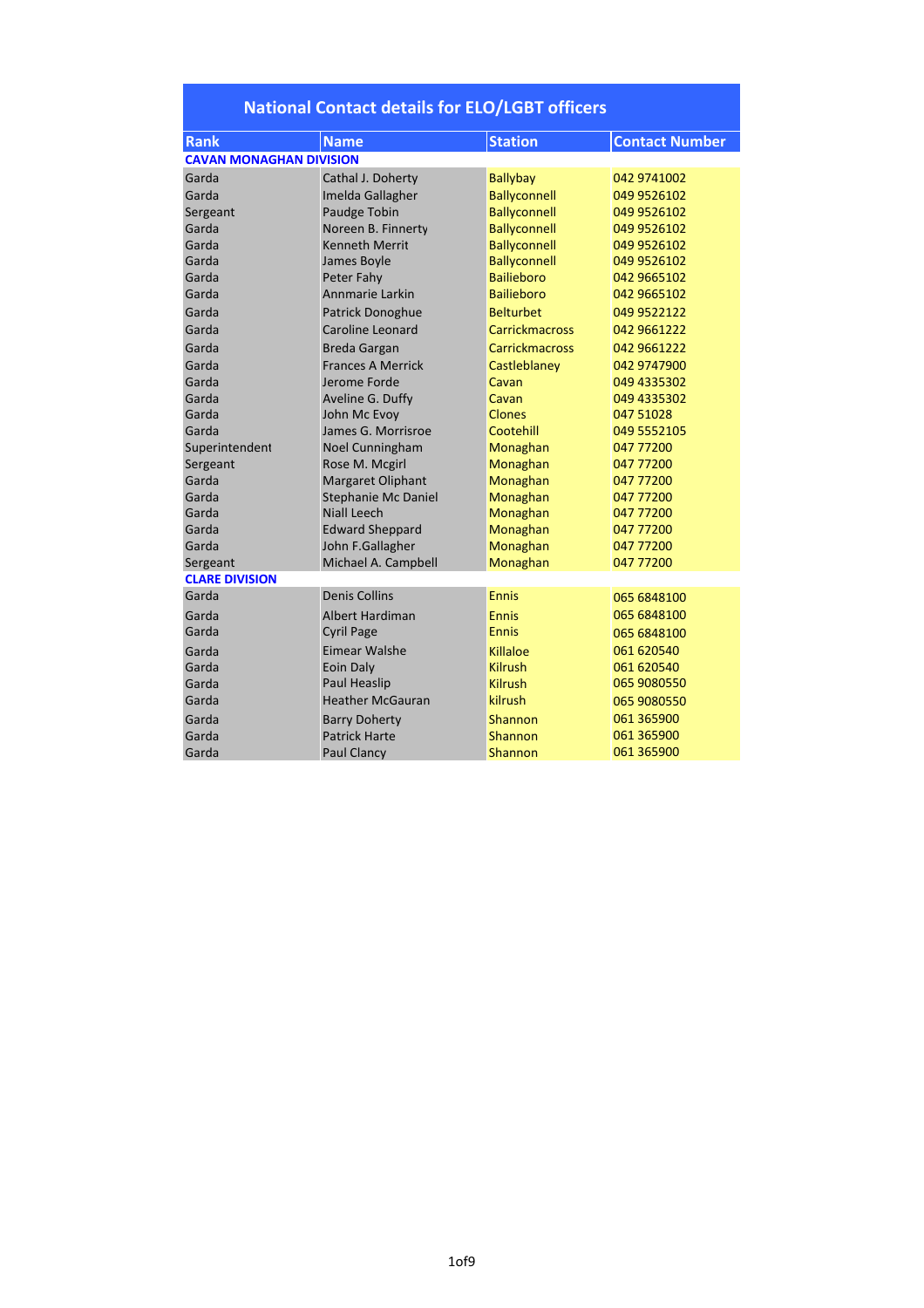| <b>Rank</b>                    | <b>Name</b>                | <b>Station</b>        | <b>Contact Number</b> |
|--------------------------------|----------------------------|-----------------------|-----------------------|
| <b>CAVAN MONAGHAN DIVISION</b> |                            |                       |                       |
| Garda                          | Cathal J. Doherty          | <b>Ballybay</b>       | 042 9741002           |
| Garda                          | Imelda Gallagher           | <b>Ballyconnell</b>   | 049 9526102           |
| Sergeant                       | Paudge Tobin               | <b>Ballyconnell</b>   | 049 9526102           |
| Garda                          | Noreen B. Finnerty         | <b>Ballyconnell</b>   | 049 9526102           |
| Garda                          | <b>Kenneth Merrit</b>      | <b>Ballyconnell</b>   | 049 9526102           |
| Garda                          | James Boyle                | <b>Ballyconnell</b>   | 049 9526102           |
| Garda                          | Peter Fahy                 | <b>Bailieboro</b>     | 042 9665102           |
| Garda                          | Annmarie Larkin            | <b>Bailieboro</b>     | 042 9665102           |
| Garda                          | Patrick Donoghue           | <b>Belturbet</b>      | 049 9522122           |
| Garda                          | Caroline Leonard           | <b>Carrickmacross</b> | 042 9661222           |
| Garda                          | <b>Breda Gargan</b>        | <b>Carrickmacross</b> | 042 9661222           |
| Garda                          | <b>Frances A Merrick</b>   | Castleblaney          | 042 9747900           |
| Garda                          | Jerome Forde               | Cavan                 | 049 4335302           |
| Garda                          | Aveline G. Duffy           | Cavan                 | 049 4335302           |
| Garda                          | John Mc Evoy               | Clones                | 047 51028             |
| Garda                          | James G. Morrisroe         | Cootehill             | 049 5552105           |
| Superintendent                 | Noel Cunningham            | Monaghan              | 047 77200             |
| Sergeant                       | Rose M. Mcgirl             | Monaghan              | 047 77200             |
| Garda                          | <b>Margaret Oliphant</b>   | Monaghan              | 047 77200             |
| Garda                          | <b>Stephanie Mc Daniel</b> | Monaghan              | 047 77200             |
| Garda                          | Niall Leech                | Monaghan              | 047 77200             |
| Garda                          | <b>Edward Sheppard</b>     | Monaghan              | 047 77200             |
| Garda                          | John F.Gallagher           | Monaghan              | 047 77200             |
| Sergeant                       | Michael A. Campbell        | Monaghan              | 047 77200             |
| <b>CLARE DIVISION</b>          |                            |                       |                       |
| Garda                          | <b>Denis Collins</b>       | Ennis                 | 065 6848100           |
| Garda                          | <b>Albert Hardiman</b>     | <b>Ennis</b>          | 065 6848100           |
| Garda                          | <b>Cyril Page</b>          | <b>Ennis</b>          | 065 6848100           |
| Garda                          | Eimear Walshe              | Killaloe              | 061 620540            |
| Garda                          | <b>Eoin Daly</b>           | <b>Kilrush</b>        | 061 620540            |
| Garda                          | Paul Heaslip               | <b>Kilrush</b>        | 065 9080550           |
| Garda                          | <b>Heather McGauran</b>    | kilrush               | 065 9080550           |
| Garda                          | <b>Barry Doherty</b>       | <b>Shannon</b>        | 061 365900            |
| Garda                          | <b>Patrick Harte</b>       | Shannon               | 061 365900            |
| Garda                          | <b>Paul Clancy</b>         | Shannon               | 061 365900            |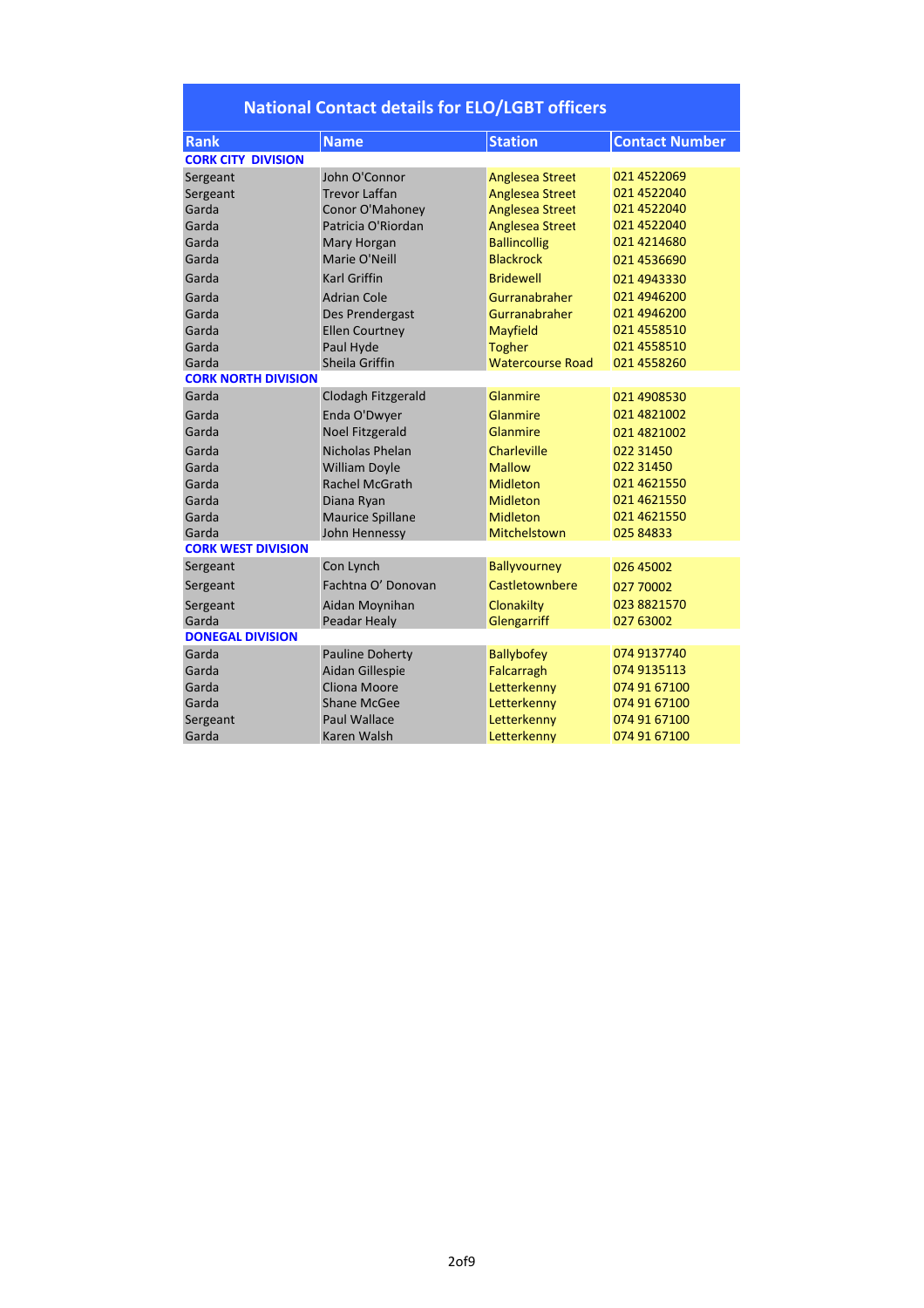| <b>Rank</b>                | <b>Name</b>             | <b>Station</b>          | <b>Contact Number</b> |  |  |
|----------------------------|-------------------------|-------------------------|-----------------------|--|--|
| <b>CORK CITY DIVISION</b>  |                         |                         |                       |  |  |
| Sergeant                   | John O'Connor           | <b>Anglesea Street</b>  | 021 4522069           |  |  |
| Sergeant                   | <b>Trevor Laffan</b>    | <b>Anglesea Street</b>  | 021 4522040           |  |  |
| Garda                      | Conor O'Mahoney         | <b>Anglesea Street</b>  | 021 4522040           |  |  |
| Garda                      | Patricia O'Riordan      | <b>Anglesea Street</b>  | 021 4522040           |  |  |
| Garda                      | Mary Horgan             | <b>Ballincollig</b>     | 021 4214680           |  |  |
| Garda                      | Marie O'Neill           | <b>Blackrock</b>        | 021 4536690           |  |  |
| Garda                      | <b>Karl Griffin</b>     | <b>Bridewell</b>        | 021 4943330           |  |  |
| Garda                      | <b>Adrian Cole</b>      | Gurranabraher           | 021 4946200           |  |  |
| Garda                      | Des Prendergast         | Gurranabraher           | 021 4946200           |  |  |
| Garda                      | <b>Ellen Courtney</b>   | <b>Mayfield</b>         | 021 4558510           |  |  |
| Garda                      | Paul Hyde               | <b>Togher</b>           | 021 4558510           |  |  |
| Garda                      | Sheila Griffin          | <b>Watercourse Road</b> | 021 4558260           |  |  |
| <b>CORK NORTH DIVISION</b> |                         |                         |                       |  |  |
| Garda                      | Clodagh Fitzgerald      | Glanmire                | 021 4908530           |  |  |
| Garda                      | Enda O'Dwyer            | Glanmire                | 021 4821002           |  |  |
| Garda                      | <b>Noel Fitzgerald</b>  | Glanmire                | 021 4821002           |  |  |
| Garda                      | Nicholas Phelan         | Charleville             | 022 31450             |  |  |
| Garda                      | <b>William Doyle</b>    | <b>Mallow</b>           | 022 31450             |  |  |
| Garda                      | Rachel McGrath          | <b>Midleton</b>         | 021 4621550           |  |  |
| Garda                      | Diana Ryan              | <b>Midleton</b>         | 021 4621550           |  |  |
| Garda                      | <b>Maurice Spillane</b> | <b>Midleton</b>         | 021 4621550           |  |  |
| Garda                      | John Hennessy           | Mitchelstown            | 025 84833             |  |  |
| <b>CORK WEST DIVISION</b>  |                         |                         |                       |  |  |
| Sergeant                   | Con Lynch               | <b>Ballyvourney</b>     | 026 45002             |  |  |
| Sergeant                   | Fachtna O' Donovan      | Castletownbere          | 027 70002             |  |  |
| Sergeant                   | Aidan Moynihan          | Clonakilty              | 023 8821570           |  |  |
| Garda                      | Peadar Healy            | Glengarriff             | 027 63002             |  |  |
| <b>DONEGAL DIVISION</b>    |                         |                         |                       |  |  |
| Garda                      | <b>Pauline Doherty</b>  | <b>Ballybofey</b>       | 074 9137740           |  |  |
| Garda                      | Aidan Gillespie         | Falcarragh              | 074 9135113           |  |  |
| Garda                      | Cliona Moore            | Letterkenny             | 074 91 67100          |  |  |
| Garda                      | <b>Shane McGee</b>      | Letterkenny             | 074 91 67100          |  |  |
| Sergeant                   | <b>Paul Wallace</b>     | Letterkenny             | 074 91 67100          |  |  |
| Garda                      | Karen Walsh             | Letterkenny             | 074 91 67100          |  |  |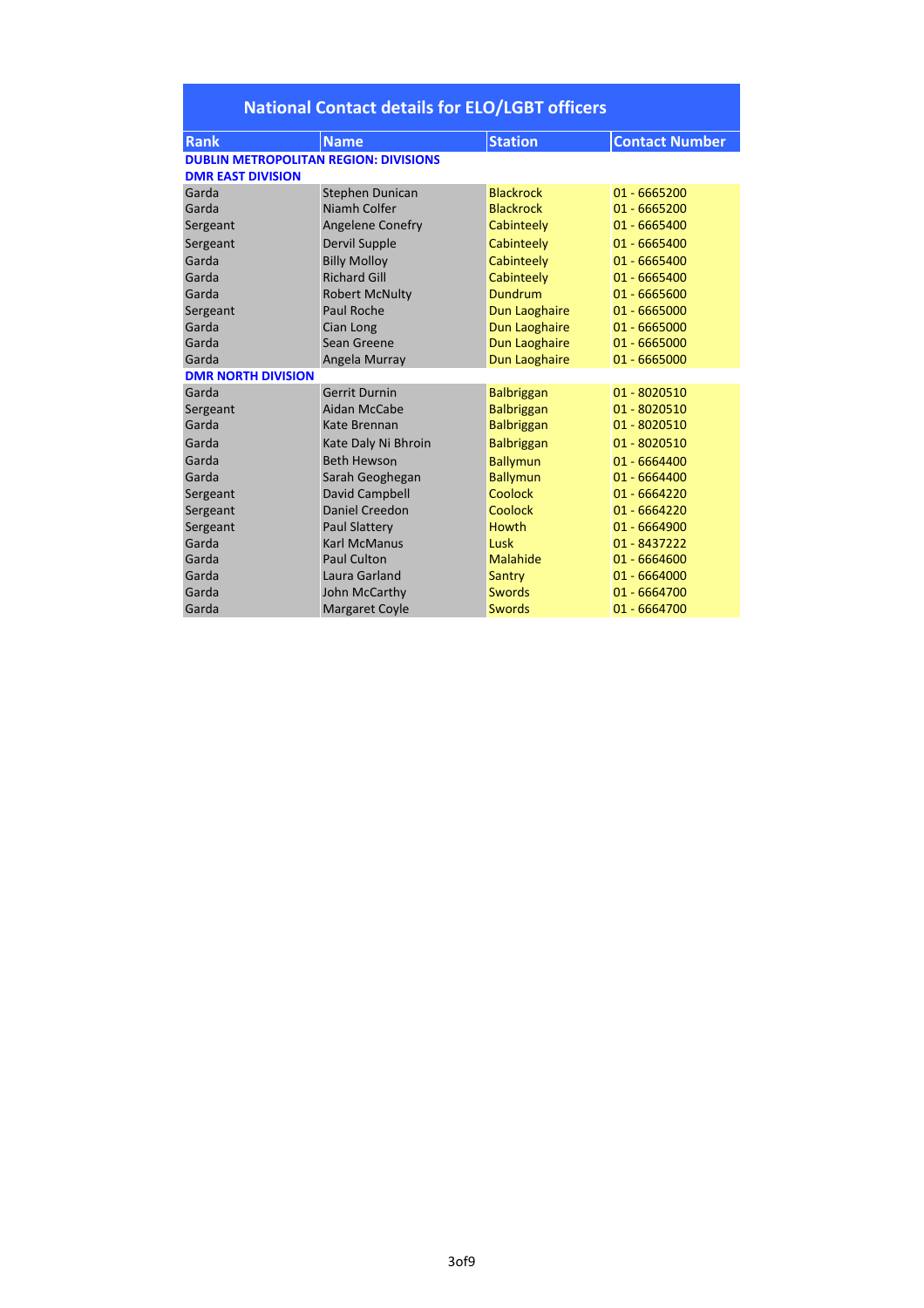| <b>National Contact details for ELO/LGBT officers</b> |                         |                   |                       |  |
|-------------------------------------------------------|-------------------------|-------------------|-----------------------|--|
| <b>Rank</b>                                           | <b>Name</b>             | <b>Station</b>    | <b>Contact Number</b> |  |
| <b>DUBLIN METROPOLITAN REGION: DIVISIONS</b>          |                         |                   |                       |  |
| <b>DMR EAST DIVISION</b>                              |                         |                   |                       |  |
| Garda                                                 | Stephen Dunican         | <b>Blackrock</b>  | 01 - 6665200          |  |
| Garda                                                 | Niamh Colfer            | <b>Blackrock</b>  | 01 - 6665200          |  |
| Sergeant                                              | <b>Angelene Conefry</b> | Cabinteely        | 01 - 6665400          |  |
| Sergeant                                              | Dervil Supple           | Cabinteely        | 01 - 6665400          |  |
| Garda                                                 | <b>Billy Molloy</b>     | Cabinteely        | 01 - 6665400          |  |
| Garda                                                 | <b>Richard Gill</b>     | Cabinteely        | 01 - 6665400          |  |
| Garda                                                 | <b>Robert McNulty</b>   | <b>Dundrum</b>    | 01 - 6665600          |  |
| Sergeant                                              | Paul Roche              | Dun Laoghaire     | 01 - 6665000          |  |
| Garda                                                 | Cian Long               | Dun Laoghaire     | 01 - 6665000          |  |
| Garda                                                 | Sean Greene             | Dun Laoghaire     | 01 - 6665000          |  |
| Garda                                                 | Angela Murray           | Dun Laoghaire     | 01 - 6665000          |  |
| <b>DMR NORTH DIVISION</b>                             |                         |                   |                       |  |
| Garda                                                 | <b>Gerrit Durnin</b>    | <b>Balbriggan</b> | 01 - 8020510          |  |
| Sergeant                                              | Aidan McCabe            | <b>Balbriggan</b> | 01 - 8020510          |  |
| Garda                                                 | Kate Brennan            | <b>Balbriggan</b> | 01 - 8020510          |  |
| Garda                                                 | Kate Daly Ni Bhroin     | <b>Balbriggan</b> | 01 - 8020510          |  |
| Garda                                                 | <b>Beth Hewson</b>      | <b>Ballymun</b>   | 01 - 6664400          |  |
| Garda                                                 | Sarah Geoghegan         | <b>Ballymun</b>   | 01 - 6664400          |  |
| Sergeant                                              | David Campbell          | Coolock           | 01 - 6664220          |  |
| Sergeant                                              | Daniel Creedon          | <b>Coolock</b>    | 01 - 6664220          |  |
| Sergeant                                              | <b>Paul Slattery</b>    | <b>Howth</b>      | 01 - 6664900          |  |
| Garda                                                 | <b>Karl McManus</b>     | Lusk              | 01 - 8437222          |  |
| Garda                                                 | Paul Culton             | Malahide          | 01 - 6664600          |  |
| Garda                                                 | Laura Garland           | Santry            | 01 - 6664000          |  |
| Garda                                                 | John McCarthy           | <b>Swords</b>     | 01 - 6664700          |  |
| Garda                                                 | <b>Margaret Coyle</b>   | <b>Swords</b>     | 01 - 6664700          |  |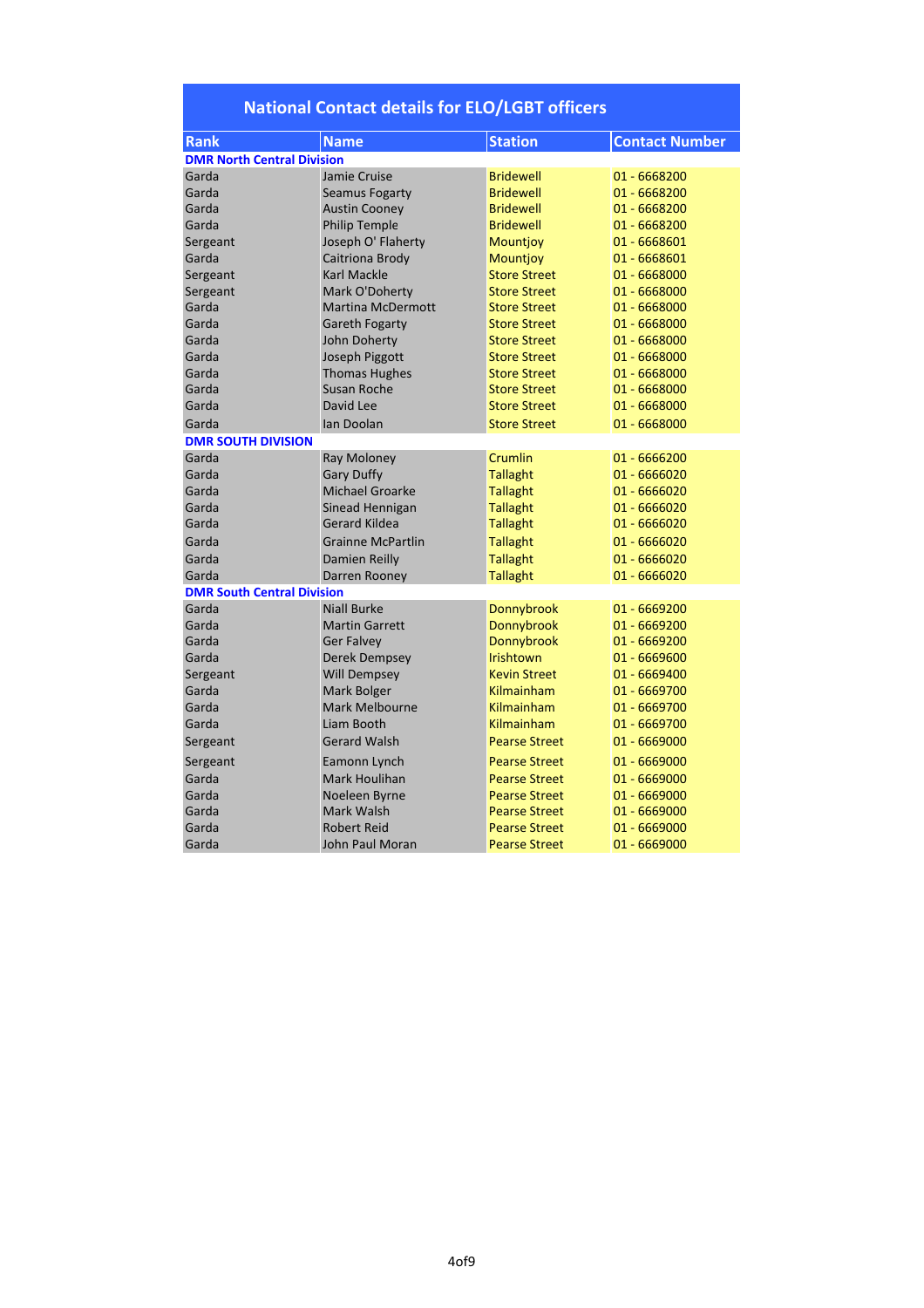|  |  |  |  | <b>National Contact details for ELO/LGBT officers</b> |
|--|--|--|--|-------------------------------------------------------|
|--|--|--|--|-------------------------------------------------------|

| <b>Rank</b>                       | <b>Name</b>              | <b>Station</b>       | <b>Contact Number</b> |
|-----------------------------------|--------------------------|----------------------|-----------------------|
| <b>DMR North Central Division</b> |                          |                      |                       |
| Garda                             | Jamie Cruise             | <b>Bridewell</b>     | 01 - 6668200          |
| Garda                             | Seamus Fogarty           | <b>Bridewell</b>     | 01 - 6668200          |
| Garda                             | <b>Austin Cooney</b>     | <b>Bridewell</b>     | 01 - 6668200          |
| Garda                             | <b>Philip Temple</b>     | <b>Bridewell</b>     | 01 - 6668200          |
| Sergeant                          | Joseph O' Flaherty       | <b>Mountjoy</b>      | 01 - 6668601          |
| Garda                             | Caitriona Brody          | <b>Mountjoy</b>      | 01 - 6668601          |
| Sergeant                          | <b>Karl Mackle</b>       | <b>Store Street</b>  | 01 - 6668000          |
| Sergeant                          | Mark O'Doherty           | <b>Store Street</b>  | 01 - 6668000          |
| Garda                             | <b>Martina McDermott</b> | <b>Store Street</b>  | 01 - 6668000          |
| Garda                             | <b>Gareth Fogarty</b>    | <b>Store Street</b>  | 01 - 6668000          |
| Garda                             | John Doherty             | <b>Store Street</b>  | 01 - 6668000          |
| Garda                             | Joseph Piggott           | <b>Store Street</b>  | 01 - 6668000          |
| Garda                             | <b>Thomas Hughes</b>     | <b>Store Street</b>  | 01 - 6668000          |
| Garda                             | Susan Roche              | <b>Store Street</b>  | 01 - 6668000          |
| Garda                             | David Lee                | <b>Store Street</b>  | 01 - 6668000          |
| Garda                             | Ian Doolan               | <b>Store Street</b>  | 01 - 6668000          |
| <b>DMR SOUTH DIVISION</b>         |                          |                      |                       |
| Garda                             | <b>Ray Moloney</b>       | Crumlin              | 01 - 6666200          |
| Garda                             | <b>Gary Duffy</b>        | <b>Tallaght</b>      | 01 - 6666020          |
| Garda                             | <b>Michael Groarke</b>   | <b>Tallaght</b>      | $01 - 6666020$        |
| Garda                             | Sinead Hennigan          | <b>Tallaght</b>      | $01 - 6666020$        |
| Garda                             | <b>Gerard Kildea</b>     | <b>Tallaght</b>      | 01 - 6666020          |
| Garda                             | <b>Grainne McPartlin</b> | <b>Tallaght</b>      | 01 - 6666020          |
| Garda                             | Damien Reilly            | <b>Tallaght</b>      | 01 - 6666020          |
| Garda                             | Darren Rooney            | <b>Tallaght</b>      | 01 - 6666020          |
| <b>DMR South Central Division</b> |                          |                      |                       |
| Garda                             | <b>Niall Burke</b>       | <b>Donnybrook</b>    | 01 - 6669200          |
| Garda                             | <b>Martin Garrett</b>    | Donnybrook           | 01 - 6669200          |
| Garda                             | <b>Ger Falvey</b>        | Donnybrook           | 01 - 6669200          |
| Garda                             | Derek Dempsey            | <b>Irishtown</b>     | 01 - 6669600          |
| Sergeant                          | <b>Will Dempsey</b>      | <b>Kevin Street</b>  | 01 - 6669400          |
| Garda                             | Mark Bolger              | Kilmainham           | 01 - 6669700          |
| Garda                             | <b>Mark Melbourne</b>    | Kilmainham           | 01 - 6669700          |
| Garda                             | Liam Booth               | Kilmainham           | 01 - 6669700          |
| Sergeant                          | <b>Gerard Walsh</b>      | <b>Pearse Street</b> | 01 - 6669000          |
| Sergeant                          | Eamonn Lynch             | <b>Pearse Street</b> | 01 - 6669000          |
| Garda                             | Mark Houlihan            | <b>Pearse Street</b> | 01 - 6669000          |
| Garda                             | Noeleen Byrne            | <b>Pearse Street</b> | 01 - 6669000          |
| Garda                             | Mark Walsh               | <b>Pearse Street</b> | 01 - 6669000          |
| Garda                             | <b>Robert Reid</b>       | <b>Pearse Street</b> | 01 - 6669000          |
| Garda                             | John Paul Moran          | <b>Pearse Street</b> | 01 - 6669000          |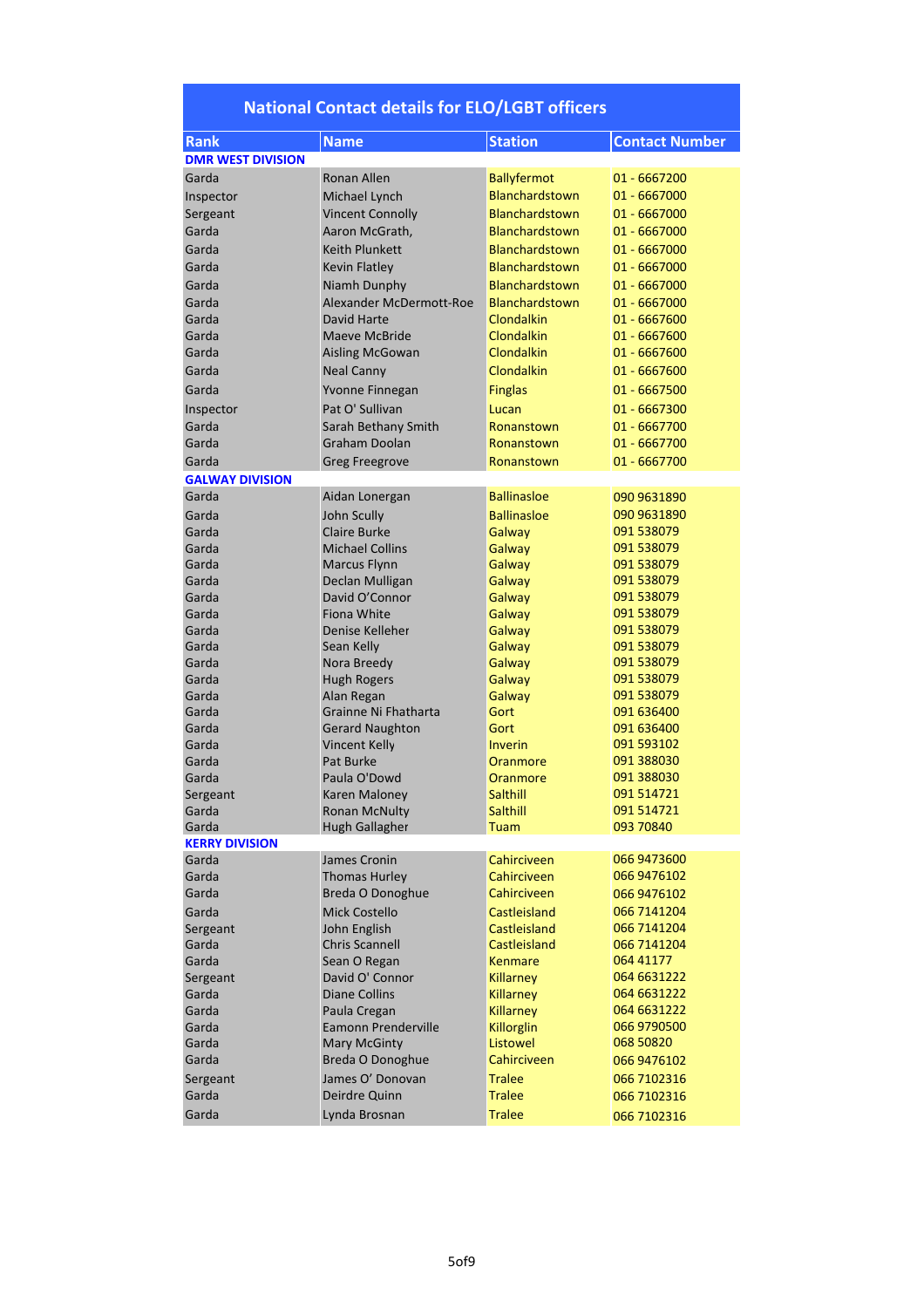| <b>Rank</b>              | <b>Name</b>             | <b>Station</b>        | <b>Contact Number</b> |
|--------------------------|-------------------------|-----------------------|-----------------------|
| <b>DMR WEST DIVISION</b> |                         |                       |                       |
| Garda                    | <b>Ronan Allen</b>      | <b>Ballyfermot</b>    | $01 - 6667200$        |
| Inspector                | Michael Lynch           | Blanchardstown        | 01 - 6667000          |
| Sergeant                 | <b>Vincent Connolly</b> | Blanchardstown        | 01 - 6667000          |
| Garda                    | Aaron McGrath,          | Blanchardstown        | 01 - 6667000          |
|                          |                         |                       |                       |
| Garda                    | <b>Keith Plunkett</b>   | <b>Blanchardstown</b> | 01 - 6667000          |
| Garda                    | <b>Kevin Flatley</b>    | <b>Blanchardstown</b> | $01 - 6667000$        |
| Garda                    | Niamh Dunphy            | Blanchardstown        | 01 - 6667000          |
| Garda                    | Alexander McDermott-Roe | Blanchardstown        | 01 - 6667000          |
| Garda                    | David Harte             | Clondalkin            | 01 - 6667600          |
| Garda                    | Maeve McBride           | Clondalkin            | 01 - 6667600          |
| Garda                    | <b>Aisling McGowan</b>  | Clondalkin            | 01 - 6667600          |
| Garda                    | <b>Neal Canny</b>       | Clondalkin            | 01 - 6667600          |
| Garda                    | Yvonne Finnegan         | <b>Finglas</b>        | 01 - 6667500          |
| Inspector                | Pat O' Sullivan         | Lucan                 | 01 - 6667300          |
| Garda                    | Sarah Bethany Smith     | Ronanstown            | 01 - 6667700          |
| Garda                    | <b>Graham Doolan</b>    | Ronanstown            | 01 - 6667700          |
|                          |                         |                       |                       |
| Garda                    | <b>Greg Freegrove</b>   | Ronanstown            | 01 - 6667700          |
| <b>GALWAY DIVISION</b>   |                         |                       |                       |
| Garda                    | Aidan Lonergan          | <b>Ballinasloe</b>    | 090 9631890           |
| Garda                    | John Scully             | <b>Ballinasloe</b>    | 090 9631890           |
| Garda                    | Claire Burke            | Galway                | 091 538079            |
| Garda                    | <b>Michael Collins</b>  | Galway                | 091 538079            |
| Garda                    | <b>Marcus Flynn</b>     | Galway                | 091 538079            |
| Garda                    | Declan Mulligan         | Galway                | 091 538079            |
| Garda                    | David O'Connor          | Galway                | 091 538079            |
| Garda                    | Fiona White             | Galway                | 091 538079            |
| Garda                    | Denise Kelleher         | Galway                | 091 538079            |
| Garda                    | Sean Kelly              | Galway                | 091 538079            |
| Garda                    | Nora Breedy             | Galway                | 091 538079            |
| Garda                    | <b>Hugh Rogers</b>      | Galway                | 091 538079            |
| Garda                    | Alan Regan              | Galway                | 091 538079            |
| Garda                    | Grainne Ni Fhatharta    | Gort                  | 091 636400            |
| Garda                    | <b>Gerard Naughton</b>  | Gort                  | 091 636400            |
| Garda                    | <b>Vincent Kelly</b>    | Inverin               | 091 593102            |
| Garda                    | <b>Pat Burke</b>        | Oranmore              | 091 388030            |
| Garda                    | Paula O'Dowd            | Oranmore              | 091 388030            |
| Sergeant                 | <b>Karen Maloney</b>    | Salthill              | 091 514721            |
| Garda                    | <b>Ronan McNulty</b>    | Salthill              | 091 514721            |
| Garda                    | Hugh Gallagher          | Tuam                  | 093 70840             |
| <b>KERRY DIVISION</b>    |                         |                       |                       |
| Garda                    | James Cronin            | Cahirciveen           | 066 9473 600          |
| Garda                    | <b>Thomas Hurley</b>    | Cahirciveen           | 066 9476102           |
| Garda                    | Breda O Donoghue        | Cahirciveen           | 066 9476102           |
| Garda                    | <b>Mick Costello</b>    | Castleisland          | 066 7141204           |
| Sergeant                 | John English            | Castleisland          | 066 7141204           |
| Garda                    | <b>Chris Scannell</b>   | Castleisland          | 066 7141204           |
| Garda                    | Sean O Regan            | Kenmare               | 064 41177             |
| Sergeant                 | David O' Connor         | <b>Killarney</b>      | 064 6631222           |
| Garda                    | Diane Collins           | <b>Killarney</b>      | 064 6631222           |
| Garda                    | Paula Cregan            | <b>Killarney</b>      | 064 6631222           |
| Garda                    | Eamonn Prenderville     | Killorglin            | 066 9790500           |
| Garda                    | <b>Mary McGinty</b>     | Listowel              | 068 50820             |
| Garda                    | Breda O Donoghue        | Cahirciveen           | 066 9476102           |
|                          | James O' Donovan        | <b>Tralee</b>         | 066 7102316           |
| Sergeant<br>Garda        | Deirdre Quinn           | <b>Tralee</b>         |                       |
|                          |                         |                       | 066 7102316           |
| Garda                    | Lynda Brosnan           | <b>Tralee</b>         | 066 7102316           |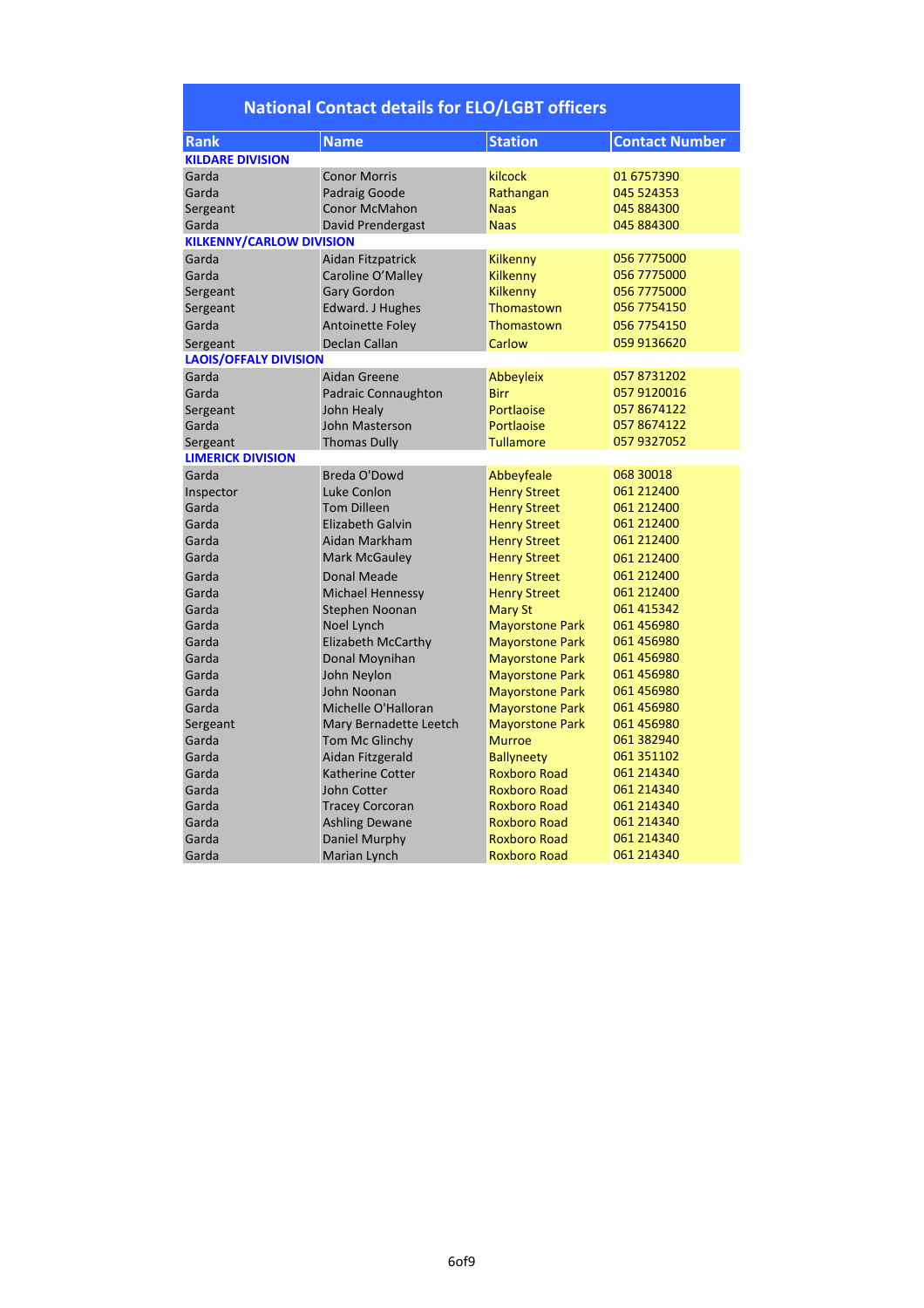| <b>Rank</b>                     | <b>Name</b>              | <b>Station</b>         | <b>Contact Number</b> |  |
|---------------------------------|--------------------------|------------------------|-----------------------|--|
| <b>KILDARE DIVISION</b>         |                          |                        |                       |  |
| Garda                           | <b>Conor Morris</b>      | kilcock                | 01 6757390            |  |
| Garda                           | Padraig Goode            | Rathangan              | 045 524353            |  |
| Sergeant                        | <b>Conor McMahon</b>     | <b>Naas</b>            | 045 884300            |  |
| Garda                           | <b>David Prendergast</b> | <b>Naas</b>            | 045 884300            |  |
| <b>KILKENNY/CARLOW DIVISION</b> |                          |                        |                       |  |
| Garda                           | Aidan Fitzpatrick        | Kilkenny               | 056 7775000           |  |
| Garda                           | Caroline O'Malley        | Kilkenny               | 056 7775000           |  |
| Sergeant                        | <b>Gary Gordon</b>       | <b>Kilkenny</b>        | 056 7775000           |  |
| Sergeant                        | Edward. J Hughes         | Thomastown             | 056 7754150           |  |
| Garda                           | <b>Antoinette Foley</b>  | Thomastown             | 056 7754150           |  |
| Sergeant                        | <b>Declan Callan</b>     | Carlow                 | 059 9136620           |  |
| <b>LAOIS/OFFALY DIVISION</b>    |                          |                        |                       |  |
| Garda                           | Aidan Greene             | Abbeyleix              | 057 8731202           |  |
| Garda                           | Padraic Connaughton      | <b>Birr</b>            | 057 9120016           |  |
| Sergeant                        | John Healy               | Portlaoise             | 057 8674122           |  |
| Garda                           | John Masterson           | Portlaoise             | 057 8674122           |  |
| Sergeant                        | <b>Thomas Dully</b>      | <b>Tullamore</b>       | 057 9327052           |  |
| <b>LIMERICK DIVISION</b>        |                          |                        |                       |  |
| Garda                           | Breda O'Dowd             | Abbeyfeale             | 068 30018             |  |
| Inspector                       | Luke Conlon              | <b>Henry Street</b>    | 061 212400            |  |
| Garda                           | <b>Tom Dilleen</b>       | <b>Henry Street</b>    | 061 212400            |  |
| Garda                           | Elizabeth Galvin         | <b>Henry Street</b>    | 061 212400            |  |
| Garda                           | Aidan Markham            | <b>Henry Street</b>    | 061 212400            |  |
| Garda                           | <b>Mark McGauley</b>     | <b>Henry Street</b>    | 061 212400            |  |
| Garda                           | <b>Donal Meade</b>       | <b>Henry Street</b>    | 061 212400            |  |
| Garda                           | <b>Michael Hennessy</b>  | <b>Henry Street</b>    | 061 212400            |  |
| Garda                           | Stephen Noonan           | <b>Mary St</b>         | 061 415342            |  |
| Garda                           | Noel Lynch               | <b>Mayorstone Park</b> | 061 456980            |  |
| Garda                           | Elizabeth McCarthy       | <b>Mayorstone Park</b> | 061 456980            |  |
| Garda                           | Donal Moynihan           | <b>Mayorstone Park</b> | 061 456980            |  |
| Garda                           | John Neylon              | <b>Mayorstone Park</b> | 061 456980            |  |
| Garda                           | John Noonan              | <b>Mayorstone Park</b> | 061 456980            |  |
| Garda                           | Michelle O'Halloran      | <b>Mayorstone Park</b> | 061 456980            |  |
| Sergeant                        | Mary Bernadette Leetch   | <b>Mayorstone Park</b> | 061 456980            |  |
| Garda                           | Tom Mc Glinchy           | <b>Murroe</b>          | 061 382940            |  |
| Garda                           | Aidan Fitzgerald         | <b>Ballyneety</b>      | 061 351102            |  |
| Garda                           | <b>Katherine Cotter</b>  | <b>Roxboro Road</b>    | 061 214340            |  |
| Garda                           | John Cotter              | <b>Roxboro Road</b>    | 061 214340            |  |
| Garda                           | <b>Tracey Corcoran</b>   | <b>Roxboro Road</b>    | 061 214340            |  |
| Garda                           | <b>Ashling Dewane</b>    | <b>Roxboro Road</b>    | 061 214340            |  |
| Garda                           | Daniel Murphy            | <b>Roxboro Road</b>    | 061 214340            |  |
| Garda                           | Marian Lynch             | <b>Roxboro Road</b>    | 061 214340            |  |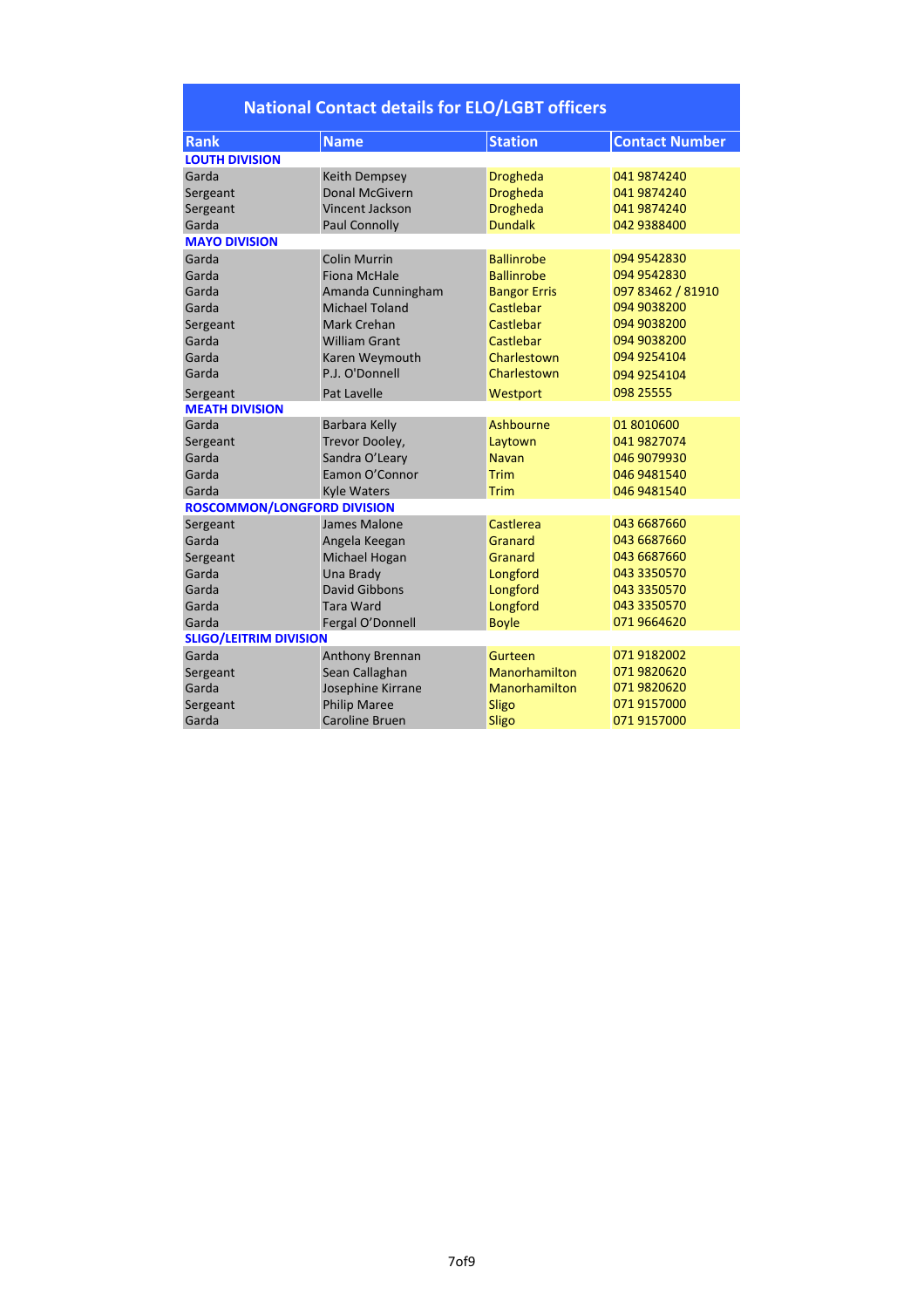| <b>Rank</b>                        | <b>Name</b>            | <b>Station</b>      | <b>Contact Number</b> |  |
|------------------------------------|------------------------|---------------------|-----------------------|--|
| <b>LOUTH DIVISION</b>              |                        |                     |                       |  |
| Garda                              | Keith Dempsey          | <b>Drogheda</b>     | 041 9874240           |  |
| Sergeant                           | <b>Donal McGivern</b>  | <b>Drogheda</b>     | 041 9874240           |  |
| Sergeant                           | <b>Vincent Jackson</b> | <b>Drogheda</b>     | 041 9874240           |  |
| Garda                              | <b>Paul Connolly</b>   | <b>Dundalk</b>      | 042 9388400           |  |
| <b>MAYO DIVISION</b>               |                        |                     |                       |  |
| Garda                              | <b>Colin Murrin</b>    | <b>Ballinrobe</b>   | 094 9542830           |  |
| Garda                              | <b>Fiona McHale</b>    | <b>Ballinrobe</b>   | 094 9542830           |  |
| Garda                              | Amanda Cunningham      | <b>Bangor Erris</b> | 097 83462 / 81910     |  |
| Garda                              | <b>Michael Toland</b>  | Castlebar           | 094 9038200           |  |
| Sergeant                           | Mark Crehan            | Castlebar           | 094 9038200           |  |
| Garda                              | <b>William Grant</b>   | Castlebar           | 094 9038200           |  |
| Garda                              | Karen Weymouth         | Charlestown         | 094 9254104           |  |
| Garda                              | P.J. O'Donnell         | Charlestown         | 094 9254104           |  |
| Sergeant                           | <b>Pat Lavelle</b>     | Westport            | 098 25555             |  |
| <b>MEATH DIVISION</b>              |                        |                     |                       |  |
| Garda                              | <b>Barbara Kelly</b>   | Ashbourne           | 01 8010600            |  |
| Sergeant                           | Trevor Dooley,         | Laytown             | 041 9827074           |  |
| Garda                              | Sandra O'Leary         | <b>Navan</b>        | 046 9079930           |  |
| Garda                              | Eamon O'Connor         | Trim                | 046 9481540           |  |
| Garda                              | <b>Kyle Waters</b>     | Trim                | 046 9481540           |  |
| <b>ROSCOMMON/LONGFORD DIVISION</b> |                        |                     |                       |  |
| Sergeant                           | James Malone           | Castlerea           | 043 6687660           |  |
| Garda                              | Angela Keegan          | Granard             | 043 6687660           |  |
| Sergeant                           | Michael Hogan          | <b>Granard</b>      | 043 6687660           |  |
| Garda                              | Una Brady              | Longford            | 043 3350570           |  |
| Garda                              | David Gibbons          | Longford            | 043 3350570           |  |
| Garda                              | <b>Tara Ward</b>       | Longford            | 043 3350570           |  |
| Garda                              | Fergal O'Donnell       | <b>Boyle</b>        | 071 9664620           |  |
| <b>SLIGO/LEITRIM DIVISION</b>      |                        |                     |                       |  |
| Garda                              | Anthony Brennan        | Gurteen             | 071 9182002           |  |
| Sergeant                           | Sean Callaghan         | Manorhamilton       | 071 9820620           |  |
| Garda                              | Josephine Kirrane      | Manorhamilton       | 071 9820620           |  |
| Sergeant                           | <b>Philip Maree</b>    | Sligo               | 071 9157000           |  |
| Garda                              | <b>Caroline Bruen</b>  | Sligo               | 071 9157000           |  |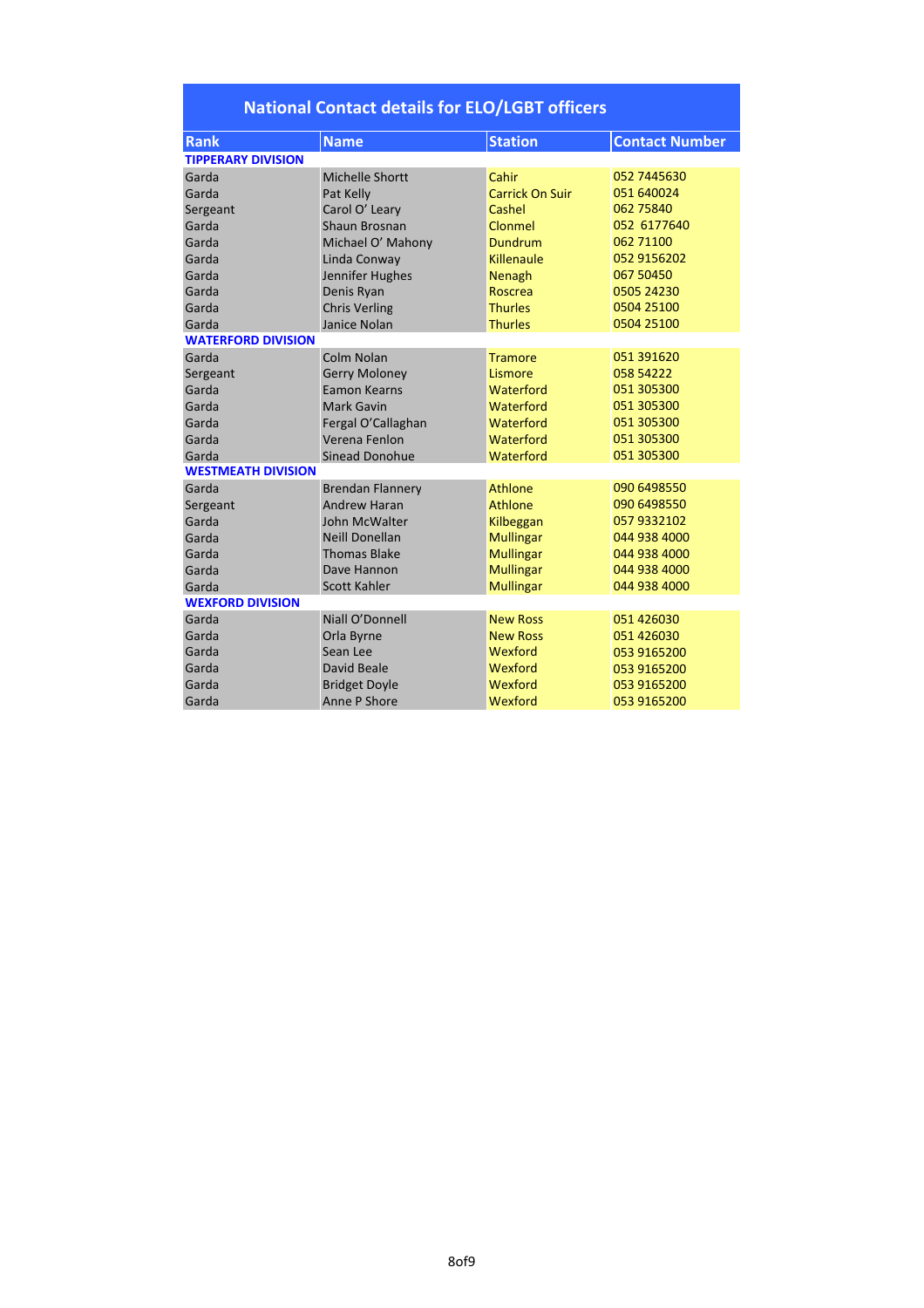| <b>Rank</b>               | <b>Name</b>             | <b>Station</b>         | <b>Contact Number</b> |  |  |
|---------------------------|-------------------------|------------------------|-----------------------|--|--|
| <b>TIPPERARY DIVISION</b> |                         |                        |                       |  |  |
| Garda                     | <b>Michelle Shortt</b>  | Cahir                  | 052 7445630           |  |  |
| Garda                     | Pat Kelly               | <b>Carrick On Suir</b> | 051 640024            |  |  |
| Sergeant                  | Carol O' Leary          | Cashel                 | 062 75840             |  |  |
| Garda                     | Shaun Brosnan           | Clonmel                | 052 6177640           |  |  |
| Garda                     | Michael O' Mahony       | <b>Dundrum</b>         | 062 71100             |  |  |
| Garda                     | Linda Conway            | Killenaule             | 052 9156202           |  |  |
| Garda                     | Jennifer Hughes         | Nenagh                 | 067 50450             |  |  |
| Garda                     | Denis Ryan              | <b>Roscrea</b>         | 0505 24230            |  |  |
| Garda                     | <b>Chris Verling</b>    | <b>Thurles</b>         | 0504 25100            |  |  |
| Garda                     | Janice Nolan            | <b>Thurles</b>         | 0504 25100            |  |  |
| <b>WATERFORD DIVISION</b> |                         |                        |                       |  |  |
| Garda                     | Colm Nolan              | <b>Tramore</b>         | 051 391620            |  |  |
| Sergeant                  | <b>Gerry Moloney</b>    | Lismore                | 058 54222             |  |  |
| Garda                     | Eamon Kearns            | Waterford              | 051 305300            |  |  |
| Garda                     | <b>Mark Gavin</b>       | Waterford              | 051 305300            |  |  |
| Garda                     | Fergal O'Callaghan      | Waterford              | 051 305300            |  |  |
| Garda                     | Verena Fenlon           | Waterford              | 051 305300            |  |  |
| Garda                     | <b>Sinead Donohue</b>   | Waterford              | 051 305300            |  |  |
| <b>WESTMEATH DIVISION</b> |                         |                        |                       |  |  |
| Garda                     | <b>Brendan Flannery</b> | Athlone                | 090 6498550           |  |  |
| Sergeant                  | <b>Andrew Haran</b>     | Athlone                | 090 6498550           |  |  |
| Garda                     | John McWalter           | Kilbeggan              | 057 9332102           |  |  |
| Garda                     | <b>Neill Donellan</b>   | <b>Mullingar</b>       | 044 938 4000          |  |  |
| Garda                     | <b>Thomas Blake</b>     | <b>Mullingar</b>       | 044 938 4000          |  |  |
| Garda                     | Dave Hannon             | <b>Mullingar</b>       | 044 938 4000          |  |  |
| Garda                     | <b>Scott Kahler</b>     | <b>Mullingar</b>       | 044 938 4000          |  |  |
| <b>WEXFORD DIVISION</b>   |                         |                        |                       |  |  |
| Garda                     | Niall O'Donnell         | <b>New Ross</b>        | 051 426030            |  |  |
| Garda                     | Orla Byrne              | <b>New Ross</b>        | 051 426030            |  |  |
| Garda                     | Sean Lee                | Wexford                | 053 9165200           |  |  |
| Garda                     | David Beale             | Wexford                | 053 9165200           |  |  |
| Garda                     | <b>Bridget Doyle</b>    | Wexford                | 053 9165200           |  |  |
| Garda                     | Anne P Shore            | Wexford                | 053 9165200           |  |  |